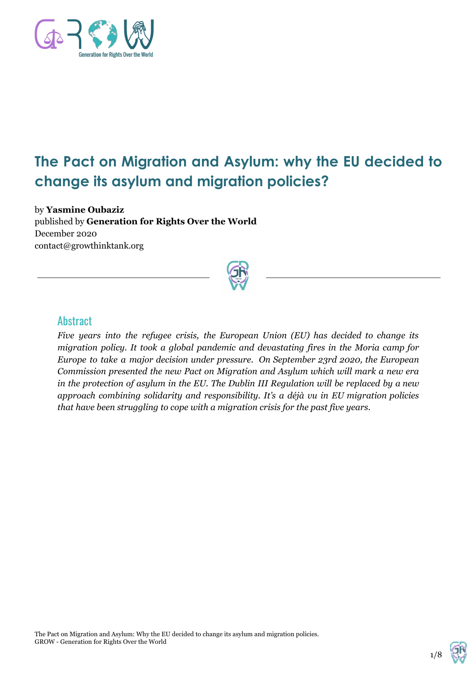

# **The Pact on Migration and Asylum: why the EU decided to change its asylum and migration policies?**

by **Yasmine Oubaziz** published by **Generation for Rights Over the World** December 2020 contact@growthinktank.org



#### **Abstract**

*Five years into the refugee crisis, the European Union (EU) has decided to change its migration policy. It took a global pandemic and devastating fires in the Moria camp for Europe to take a major decision under pressure. On September 23rd 2020, the European Commission presented the new Pact on Migration and Asylum which will mark a new era in the protection of asylum in the EU. The Dublin III Regulation will be replaced by a new approach combining solidarity and responsibility. It's a déjà vu in EU migration policies that have been struggling to cope with a migration crisis for the past five years.*

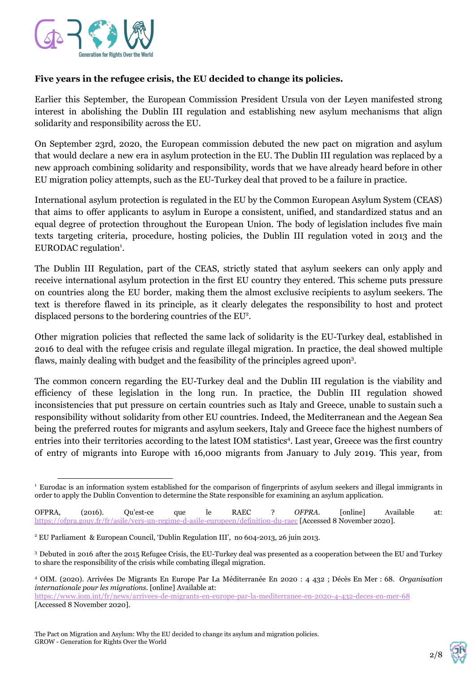

#### **Five years in the refugee crisis, the EU decided to change its policies.**

Earlier this September, the European Commission President Ursula von der Leyen manifested strong interest in abolishing the Dublin III regulation and establishing new asylum mechanisms that align solidarity and responsibility across the EU.

On September 23rd, 2020, the European commission debuted the new pact on migration and asylum that would declare a new era in asylum protection in the EU. The Dublin III regulation was replaced by a new approach combining solidarity and responsibility, words that we have already heard before in other EU migration policy attempts, such as the EU-Turkey deal that proved to be a failure in practice.

International asylum protection is regulated in the EU by the Common European Asylum System (CEAS) that aims to offer applicants to asylum in Europe a consistent, unified, and standardized status and an equal degree of protection throughout the European Union. The body of legislation includes five main texts targeting criteria, procedure, hosting policies, the Dublin III regulation voted in 2013 and the EURODAC regulation<sup>1</sup>.

The Dublin III Regulation, part of the CEAS, strictly stated that asylum seekers can only apply and receive international asylum protection in the first EU country they entered. This scheme puts pressure on countries along the EU border, making them the almost exclusive recipients to asylum seekers. The text is therefore flawed in its principle, as it clearly delegates the responsibility to host and protect displaced persons to the bordering countries of the EU<sup>2</sup>.

Other migration policies that reflected the same lack of solidarity is the EU-Turkey deal, established in 2016 to deal with the refugee crisis and regulate illegal migration. In practice, the deal showed multiple flaws, mainly dealing with budget and the feasibility of the principles agreed upon<sup>3</sup>.

The common concern regarding the EU-Turkey deal and the Dublin III regulation is the viability and efficiency of these legislation in the long run. In practice, the Dublin III regulation showed inconsistencies that put pressure on certain countries such as Italy and Greece, unable to sustain such a responsibility without solidarity from other EU countries. Indeed, the Mediterranean and the Aegean Sea being the preferred routes for migrants and asylum seekers, Italy and Greece face the highest numbers of entries into their territories according to the latest IOM statistics<sup>4</sup>. Last year, Greece was the first country of entry of migrants into Europe with 16,000 migrants from January to July 2019. This year, from

<sup>1</sup> Eurodac is an information system established for the comparison of fingerprints of asylum seekers and illegal immigrants in order to apply the Dublin Convention to determine the State responsible for examining an asylum application.

OFPRA, (2016). Qu'est-ce que le RAEC ? *OFPRA*. [online] Available at: <https://ofpra.gouv.fr/fr/asile/vers-un-regime-d-asile-europeen/definition-du-raec> [Accessed 8 November 2020].

<sup>2</sup> EU Parliament & European Council, 'Dublin Regulation III', no 604-2013, 26 juin 2013.

<sup>3</sup> Debuted in 2016 after the 2015 Refugee Crisis, the EU-Turkey deal was presented as a cooperation between the EU and Turkey to share the responsibility of the crisis while combating illegal migration.

<sup>4</sup> OIM. (2020). Arrivées De Migrants En Europe Par La Méditerranée En 2020 : 4 432 ; Décès En Mer : 68. *Organisation internationale pour les migrations*. [online] Available at:

<https://www.iom.int/fr/news/arrivees-de-migrants-en-europe-par-la-mediterranee-en-2020-4-432-deces-en-mer-68> [Accessed 8 November 2020].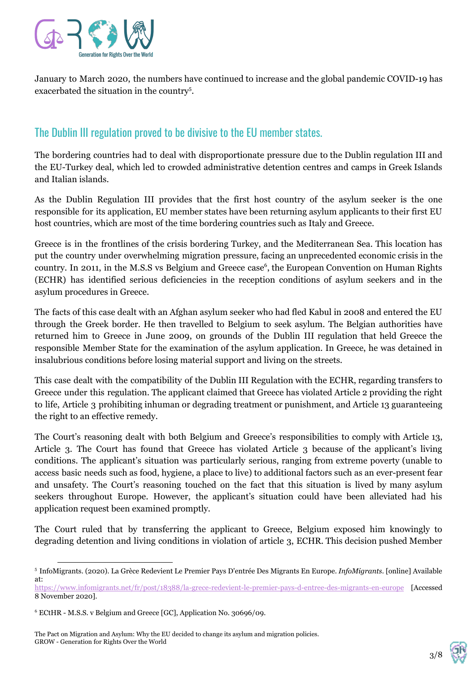

January to March 2020, the numbers have continued to increase and the global pandemic COVID-19 has exacerbated the situation in the country<sup>5</sup>.

### The Dublin III regulation proved to be divisive to the EU member states.

The bordering countries had to deal with disproportionate pressure due to the Dublin regulation III and the EU-Turkey deal, which led to crowded administrative detention centres and camps in Greek Islands and Italian islands.

As the Dublin Regulation III provides that the first host country of the asylum seeker is the one responsible for its application, EU member states have been returning asylum applicants to their first EU host countries, which are most of the time bordering countries such as Italy and Greece.

Greece is in the frontlines of the crisis bordering Turkey, and the Mediterranean Sea. This location has put the country under overwhelming migration pressure, facing an unprecedented economic crisis in the country. In 2011, in the M.S.S vs Belgium and Greece case<sup>6</sup>, the European Convention on Human Rights (ECHR) has identified serious deficiencies in the reception conditions of asylum seekers and in the asylum procedures in Greece.

The facts of this case dealt with an Afghan asylum seeker who had fled Kabul in 2008 and entered the EU through the Greek border. He then travelled to Belgium to seek asylum. The Belgian authorities have returned him to Greece in June 2009, on grounds of the Dublin III regulation that held Greece the responsible Member State for the examination of the asylum application. In Greece, he was detained in insalubrious conditions before losing material support and living on the streets.

This case dealt with the compatibility of the Dublin III Regulation with the ECHR, regarding transfers to Greece under this regulation. The applicant claimed that Greece has violated Article 2 providing the right to life, Article 3 prohibiting inhuman or degrading treatment or punishment, and Article 13 guaranteeing the right to an effective remedy.

The Court's reasoning dealt with both Belgium and Greece's responsibilities to comply with Article 13, Article 3. The Court has found that Greece has violated Article 3 because of the applicant's living conditions. The applicant's situation was particularly serious, ranging from extreme poverty (unable to access basic needs such as food, hygiene, a place to live) to additional factors such as an ever-present fear and unsafety. The Court's reasoning touched on the fact that this situation is lived by many asylum seekers throughout Europe. However, the applicant's situation could have been alleviated had his application request been examined promptly.

The Court ruled that by transferring the applicant to Greece, Belgium exposed him knowingly to degrading detention and living conditions in violation of article 3, ECHR. This decision pushed Member

The Pact on Migration and Asylum: Why the EU decided to change its asylum and migration policies. GROW - Generation for Rights Over the World



<sup>5</sup> InfoMigrants. (2020). La Grèce Redevient Le Premier Pays D'entrée Des Migrants En Europe. *InfoMigrants*. [online] Available at:

<https://www.infomigrants.net/fr/post/18388/la-grece-redevient-le-premier-pays-d-entree-des-migrants-en-europe> [Accessed 8 November 2020].

<sup>6</sup> ECtHR - M.S.S. v Belgium and Greece [GC], Application No. 30696/09.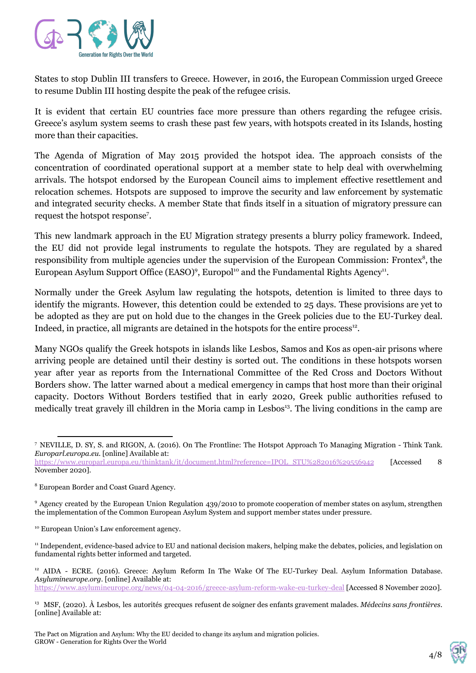

States to stop Dublin III transfers to Greece. However, in 2016, the European Commission urged Greece to resume Dublin III hosting despite the peak of the refugee crisis.

It is evident that certain EU countries face more pressure than others regarding the refugee crisis. Greece's asylum system seems to crash these past few years, with hotspots created in its Islands, hosting more than their capacities.

The Agenda of Migration of May 2015 provided the hotspot idea. The approach consists of the concentration of coordinated operational support at a member state to help deal with overwhelming arrivals. The hotspot endorsed by the European Council aims to implement effective resettlement and relocation schemes. Hotspots are supposed to improve the security and law enforcement by systematic and integrated security checks. A member State that finds itself in a situation of migratory pressure can request the hotspot response<sup>7</sup>.

This new landmark approach in the EU Migration strategy presents a blurry policy framework. Indeed, the EU did not provide legal instruments to regulate the hotspots. They are regulated by a shared responsibility from multiple agencies under the supervision of the European Commission: Frontex<sup>8</sup>, the European Asylum Support Office (EASO)<sup>9</sup>, Europol<sup>10</sup> and the Fundamental Rights Agency<sup>11</sup>.

Normally under the Greek Asylum law regulating the hotspots, detention is limited to three days to identify the migrants. However, this detention could be extended to 25 days. These provisions are yet to be adopted as they are put on hold due to the changes in the Greek policies due to the EU-Turkey deal. Indeed, in practice, all migrants are detained in the hotspots for the entire process $12$ .

Many NGOs qualify the Greek hotspots in islands like Lesbos, Samos and Kos as open-air prisons where arriving people are detained until their destiny is sorted out. The conditions in these hotspots worsen year after year as reports from the International Committee of the Red Cross and Doctors Without Borders show. The latter warned about a medical emergency in camps that host more than their original capacity. Doctors Without Borders testified that in early 2020, Greek public authorities refused to medically treat gravely ill children in the Moria camp in Lesbos<sup>13</sup>. The living conditions in the camp are



<sup>7</sup> NEVILLE, D. SY, S. and RIGON, A. (2016). On The Frontline: The Hotspot Approach To Managing Migration - Think Tank. *Europarl.europa.eu*. [online] Available at:

[https://www.europarl.europa.eu/thinktank/it/document.html?reference=IPOL\\_STU%282016%29556942](https://www.europarl.europa.eu/thinktank/it/document.html?reference=IPOL_STU%282016%29556942) [Accessed 8 November 2020].

<sup>8</sup> European Border and Coast Guard Agency.

<sup>&</sup>lt;sup>9</sup> Agency created by the European Union Regulation 439/2010 to promote cooperation of member states on asylum, strengthen the implementation of the Common European Asylum System and support member states under pressure.

<sup>&</sup>lt;sup>10</sup> European Union's Law enforcement agency.

<sup>&</sup>lt;sup>11</sup> Independent, evidence-based advice to EU and national decision makers, helping make the debates, policies, and legislation on fundamental rights better informed and targeted.

<sup>&</sup>lt;sup>12</sup> AIDA - ECRE. (2016). Greece: Asylum Reform In The Wake Of The EU-Turkey Deal. Asylum Information Database. *Asylumineurope.org*. [online] Available at:

<https://www.asylumineurope.org/news/04-04-2016/greece-asylum-reform-wake-eu-turkey-deal>[Accessed 8 November 2020].

<sup>13</sup> MSF, (2020). À Lesbos, les autorités grecques refusent de soigner des enfants gravement malades. *Médecins sans frontières*. [online] Available at: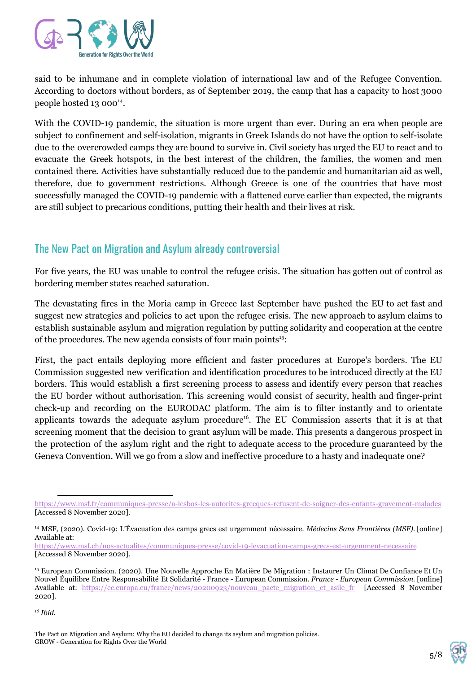

said to be inhumane and in complete violation of international law and of the Refugee Convention. According to doctors without borders, as of September 2019, the camp that has a capacity to host 3000 people hosted  $13000^{14}$ .

With the COVID-19 pandemic, the situation is more urgent than ever. During an era when people are subject to confinement and self-isolation, migrants in Greek Islands do not have the option to self-isolate due to the overcrowded camps they are bound to survive in. Civil society has urged the EU to react and to evacuate the Greek hotspots, in the best interest of the children, the families, the women and men contained there. Activities have substantially reduced due to the pandemic and humanitarian aid as well, therefore, due to government restrictions. Although Greece is one of the countries that have most successfully managed the COVID-19 pandemic with a flattened curve earlier than expected, the migrants are still subject to precarious conditions, putting their health and their lives at risk.

## The New Pact on Migration and Asylum already controversial

For five years, the EU was unable to control the refugee crisis. The situation has gotten out of control as bordering member states reached saturation.

The devastating fires in the Moria camp in Greece last September have pushed the EU to act fast and suggest new strategies and policies to act upon the refugee crisis. The new approach to asylum claims to establish sustainable asylum and migration regulation by putting solidarity and cooperation at the centre of the procedures. The new agenda consists of four main points<sup>15</sup>:

First, the pact entails deploying more efficient and faster procedures at Europe's borders. The EU Commission suggested new verification and identification procedures to be introduced directly at the EU borders. This would establish a first screening process to assess and identify every person that reaches the EU border without authorisation. This screening would consist of security, health and finger-print check-up and recording on the EURODAC platform. The aim is to filter instantly and to orientate applicants towards the adequate asylum procedure<sup>16</sup>. The EU Commission asserts that it is at that screening moment that the decision to grant asylum will be made. This presents a dangerous prospect in the protection of the asylum right and the right to adequate access to the procedure guaranteed by the Geneva Convention. Will we go from a slow and ineffective procedure to a hasty and inadequate one?



<https://www.msf.fr/communiques-presse/a-lesbos-les-autorites-grecques-refusent-de-soigner-des-enfants-gravement-malades> [Accessed 8 November 2020].

<sup>14</sup> MSF, (2020). Covid-19: L'Évacuation des camps grecs est urgemment nécessaire. *Médecins Sans Frontières (MSF)*. [online] Available at:

<https://www.msf.ch/nos-actualites/communiques-presse/covid-19-levacuation-camps-grecs-est-urgemment-necessaire> [Accessed 8 November 2020].

<sup>15</sup> European Commission. (2020). Une Nouvelle Approche En Matière De Migration : Instaurer Un Climat De Confiance Et Un Nouvel Équilibre Entre Responsabilité Et Solidarité - France - European Commission. *France - European Commission.* [online] Available at: https://ec.europa.eu/france/news/20200923/nouveau pacte\_migration\_et\_asile\_fr [Accessed 8 November 2020].

*<sup>16</sup> Ibid.*

The Pact on Migration and Asylum: Why the EU decided to change its asylum and migration policies. GROW - Generation for Rights Over the World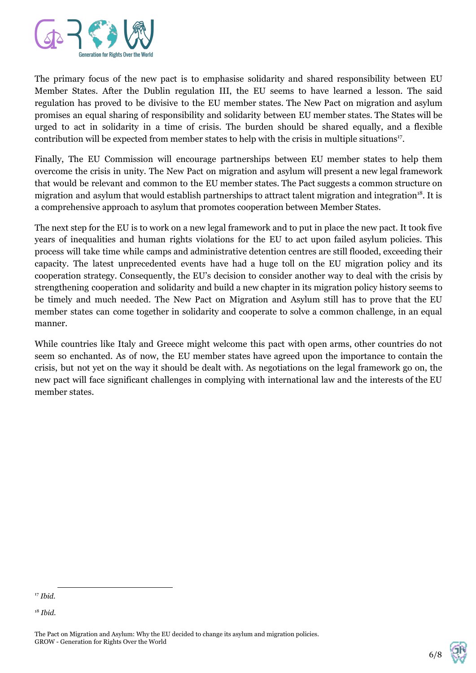

The primary focus of the new pact is to emphasise solidarity and shared responsibility between EU Member States. After the Dublin regulation III, the EU seems to have learned a lesson. The said regulation has proved to be divisive to the EU member states. The New Pact on migration and asylum promises an equal sharing of responsibility and solidarity between EU member states. The States will be urged to act in solidarity in a time of crisis. The burden should be shared equally, and a flexible contribution will be expected from member states to help with the crisis in multiple situations<sup>17</sup>.

Finally, The EU Commission will encourage partnerships between EU member states to help them overcome the crisis in unity. The New Pact on migration and asylum will present a new legal framework that would be relevant and common to the EU member states. The Pact suggests a common structure on migration and asylum that would establish partnerships to attract talent migration and integration<sup>18</sup>. It is a comprehensive approach to asylum that promotes cooperation between Member States.

The next step for the EU is to work on a new legal framework and to put in place the new pact. It took five years of inequalities and human rights violations for the EU to act upon failed asylum policies. This process will take time while camps and administrative detention centres are still flooded, exceeding their capacity. The latest unprecedented events have had a huge toll on the EU migration policy and its cooperation strategy. Consequently, the EU's decision to consider another way to deal with the crisis by strengthening cooperation and solidarity and build a new chapter in its migration policy history seems to be timely and much needed. The New Pact on Migration and Asylum still has to prove that the EU member states can come together in solidarity and cooperate to solve a common challenge, in an equal manner.

While countries like Italy and Greece might welcome this pact with open arms, other countries do not seem so enchanted. As of now, the EU member states have agreed upon the importance to contain the crisis, but not yet on the way it should be dealt with. As negotiations on the legal framework go on, the new pact will face significant challenges in complying with international law and the interests of the EU member states.



<sup>17</sup> *Ibid.*

<sup>18</sup> *Ibid.*

The Pact on Migration and Asylum: Why the EU decided to change its asylum and migration policies. GROW - Generation for Rights Over the World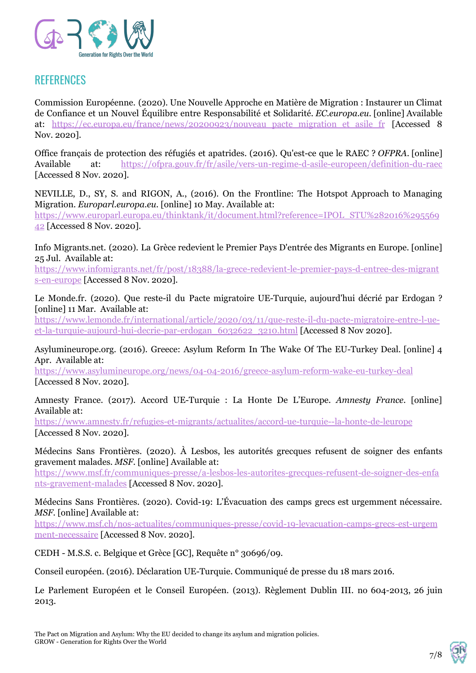

## **REFERENCES**

Commission Européenne. (2020). Une Nouvelle Approche en Matière de Migration : Instaurer un Climat de Confiance et un Nouvel Équilibre entre Responsabilité et Solidarité. *EC.europa.eu*. [online] Available at: https://ec.europa.eu/france/news/20200923/nouveau pacte migration et asile fr [Accessed 8 Nov. 2020].

Office français de protection des réfugiés et apatrides. (2016). Qu'est-ce que le RAEC ? *OFPRA*. [online] Available at: <https://ofpra.gouv.fr/fr/asile/vers-un-regime-d-asile-europeen/definition-du-raec> [Accessed 8 Nov. 2020].

NEVILLE, D., SY, S. and RIGON, A., (2016). On the Frontline: The Hotspot Approach to Managing Migration. *Europarl.europa.eu*. [online] 10 May. Available at:

[https://www.europarl.europa.eu/thinktank/it/document.html?reference=IPOL\\_STU%282016%295569](https://www.europarl.europa.eu/thinktank/it/document.html?reference=IPOL_STU%282016%29556942) [42](https://www.europarl.europa.eu/thinktank/it/document.html?reference=IPOL_STU%282016%29556942) [Accessed 8 Nov. 2020].

Info Migrants.net. (2020). La Grèce redevient le Premier Pays D'entrée des Migrants en Europe. [online] 25 Jul. Available at:

[https://www.infomigrants.net/fr/post/18388/la-grece-redevient-le-premier-pays-d-entree-des-migrant](https://www.infomigrants.net/fr/post/18388/la-grece-redevient-le-premier-pays-d-entree-des-migrants-en-europe) [s-en-europe](https://www.infomigrants.net/fr/post/18388/la-grece-redevient-le-premier-pays-d-entree-des-migrants-en-europe) [Accessed 8 Nov. 2020].

Le Monde.fr. (2020). Que reste-il du Pacte migratoire UE-Turquie, aujourd'hui décrié par Erdogan ? [online] 11 Mar. Available at:

[https://www.lemonde.fr/international/article/2020/03/11/que-reste-il-du-pacte-migratoire-entre-l-ue](https://www.lemonde.fr/international/article/2020/03/11/que-reste-il-du-pacte-migratoire-entre-l-ue-et-la-turquie-aujourd-hui-decrie-par-erdogan_6032622_3210.html)[et-la-turquie-aujourd-hui-decrie-par-erdogan\\_6032622\\_3210.html](https://www.lemonde.fr/international/article/2020/03/11/que-reste-il-du-pacte-migratoire-entre-l-ue-et-la-turquie-aujourd-hui-decrie-par-erdogan_6032622_3210.html) [Accessed 8 Nov 2020].

Asylumineurope.org. (2016). Greece: Asylum Reform In The Wake Of The EU-Turkey Deal. [online] 4 Apr. Available at:

<https://www.asylumineurope.org/news/04-04-2016/greece-asylum-reform-wake-eu-turkey-deal> [Accessed 8 Nov. 2020].

Amnesty France. (2017). Accord UE-Turquie : La Honte De L'Europe. *Amnesty France*. [online] Available at:

<https://www.amnesty.fr/refugies-et-migrants/actualites/accord-ue-turquie--la-honte-de-leurope> [Accessed 8 Nov. 2020].

Médecins Sans Frontières. (2020). À Lesbos, les autorités grecques refusent de soigner des enfants gravement malades. *MSF*. [online] Available at:

[https://www.msf.fr/communiques-presse/a-lesbos-les-autorites-grecques-refusent-de-soigner-des-enfa](https://www.msf.fr/communiques-presse/a-lesbos-les-autorites-grecques-refusent-de-soigner-des-enfants-gravement-malades) [nts-gravement-malades](https://www.msf.fr/communiques-presse/a-lesbos-les-autorites-grecques-refusent-de-soigner-des-enfants-gravement-malades) [Accessed 8 Nov. 2020].

Médecins Sans Frontières. (2020). Covid-19: L'Évacuation des camps grecs est urgemment nécessaire. *MSF*. [online] Available at:

[https://www.msf.ch/nos-actualites/communiques-presse/covid-19-levacuation-camps-grecs-est-urgem](https://www.msf.ch/nos-actualites/communiques-presse/covid-19-levacuation-camps-grecs-est-urgemment-necessaire) [ment-necessaire](https://www.msf.ch/nos-actualites/communiques-presse/covid-19-levacuation-camps-grecs-est-urgemment-necessaire) [Accessed 8 Nov. 2020].

CEDH - M.S.S. c. Belgique et Grèce [GC], Requête n° 30696/09.

Conseil européen. (2016). Déclaration UE-Turquie. Communiqué de presse du 18 mars 2016.

Le Parlement Européen et le Conseil Européen. (2013). Règlement Dublin III. no 604-2013, 26 juin 2013.